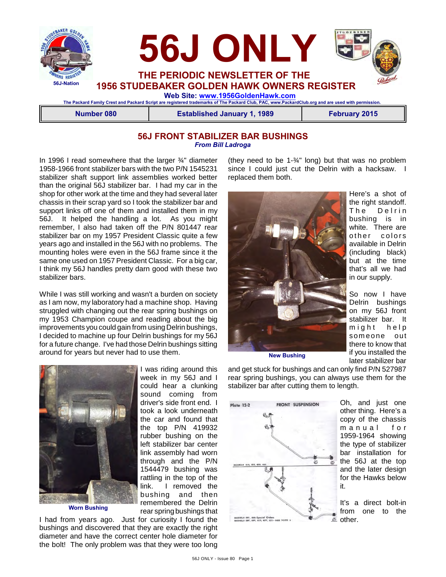

#### **56J FRONT STABILIZER BAR BUSHINGS** *From Bill Ladroga*

In 1996 I read somewhere that the larger ¾" diameter 1958-1966 front stabilizer bars with the two P/N 1545231 stabilizer shaft support link assemblies worked better than the original 56J stabilizer bar. I had my car in the shop for other work at the time and they had several later chassis in their scrap yard so I took the stabilizer bar and support links off one of them and installed them in my 56J. It helped the handling a lot. As you might remember, I also had taken off the P/N 801447 rear stabilizer bar on my 1957 President Classic quite a few years ago and installed in the 56J with no problems. The mounting holes were even in the 56J frame since it the same one used on 1957 President Classic. For a big car, I think my 56J handles pretty darn good with these two stabilizer bars.

While I was still working and wasn't a burden on society as I am now, my laboratory had a machine shop. Having struggled with changing out the rear spring bushings on my 1953 Champion coupe and reading about the big improvements you could gain from using Delrin bushings, I decided to machine up four Delrin bushings for my 56J for a future change. I've had those Delrin bushings sitting around for years but never had to use them.



I was riding around this week in my 56J and I could hear a clunking sound coming from driver's side front end. I took a look underneath the car and found that the top P/N 419932 rubber bushing on the left stabilizer bar center link assembly had worn through and the P/N 1544479 bushing was rattling in the top of the link. I removed the bushing and then remembered the Delrin rear spring bushings that

I had from years ago. Just for curiosity I found the bushings and discovered that they are exactly the right diameter and have the correct center hole diameter for the bolt! The only problem was that they were too long (they need to be 1-¾" long) but that was no problem since I could just cut the Delrin with a hacksaw. I replaced them both.



Here's a shot of the right standoff. The Delrin bushing is in white. There are other colors available in Delrin (including black) but at the time that's all we had in our supply.

So now I have Delrin bushings on my 56J front stabilizer bar. It might help som eone out there to know that if you installed the later stabilizer bar

**New Bushing**

and get stuck for bushings and can only find P/N 527987 rear spring bushings, you can always use them for the stabilizer bar after cutting them to length.



Oh, and just one other thing. Here's a copy of the chassis m a n u a l f o r 1959-1964 showing the type of stabilizer bar installation for the 56J at the top and the later design for the Hawks below it.

It's a direct bolt-in from one to the other.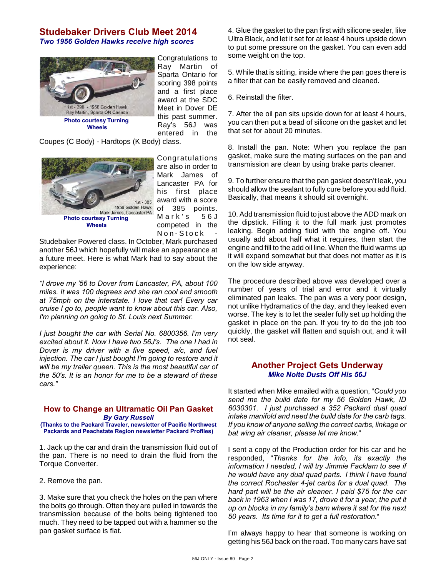#### **Studebaker Drivers Club Meet 2014** *Two 1956 Golden Hawks receive high scores*



Congratulations to Ray Martin of Sparta Ontario for scoring 398 points and a first place award at the SDC Meet in Dover DE this past summer. Ray's 56J was entered in the

Coupes (C Body) - Hardtops (K Body) class.



Congratulations are also in order to Mark James of Lancaster PA for his first place award with a score of 385 points.  $Mark's$  56J competed in the Non-Stock

Studebaker Powered class. In October, Mark purchased another 56J which hopefully will make an appearance at a future meet. Here is what Mark had to say about the experience:

*"I drove my '56 to Dover from Lancaster, PA, about 100 miles. It was 100 degrees and she ran cool and smooth at 75mph on the interstate. I love that car! Every car cruise I go to, people want to know about this car. Also, I'm planning on going to St. Louis next Summer.*

*I just bought the car with Serial No. 6800356. I'm very excited about it. Now I have two 56J's. The one I had in Dover is my driver with a five speed, a/c, and fuel injection. The car I just bought I'm going to restore and it will be my trailer queen. This is the most beautiful car of the 50's. It is an honor for me to be a steward of these cars."*

#### **How to Change an Ultramatic Oil Pan Gasket** *By Gary Russell*

**(Thanks to the Packard Traveler, newsletter of Pacific Northwest Packards and Peachstate Region newsletter Packard Profiles)**

1. Jack up the car and drain the transmission fluid out of the pan. There is no need to drain the fluid from the Torque Converter.

2. Remove the pan.

3. Make sure that you check the holes on the pan where the bolts go through. Often they are pulled in towards the transmission because of the bolts being tightened too much. They need to be tapped out with a hammer so the pan gasket surface is flat.

4. Glue the gasket to the pan first with silicone sealer, like Ultra Black, and let it set for at least 4 hours upside down to put some pressure on the gasket. You can even add some weight on the top.

5. While that is sitting, inside where the pan goes there is a filter that can be easily removed and cleaned.

6. Reinstall the filter.

7. After the oil pan sits upside down for at least 4 hours, you can then put a bead of silicone on the gasket and let that set for about 20 minutes.

8. Install the pan. Note: When you replace the pan gasket, make sure the mating surfaces on the pan and transmission are clean by using brake parts cleaner.

9. To further ensure that the pan gasket doesn't leak, you should allow the sealant to fully cure before you add fluid. Basically, that means it should sit overnight.

10. Add transmission fluid to just above the ADD mark on the dipstick. Filling it to the full mark just promotes leaking. Begin adding fluid with the engine off. You usually add about half what it requires, then start the engine and fill to the add oil line. When the fluid warms up it will expand somewhat but that does not matter as it is on the low side anyway.

The procedure described above was developed over a number of years of trial and error and it virtually eliminated pan leaks. The pan was a very poor design, not unlike Hydramatics of the day, and they leaked even worse. The key is to let the sealer fully set up holding the gasket in place on the pan. If you try to do the job too quickly, the gasket will flatten and squish out, and it will not seal.

#### **Another Project Gets Underway** *Mike Nolte Dusts Off His 56J*

It started when Mike emailed with a question, "*Could you send me the build date for my 56 Golden Hawk, ID 6030301. I just purchased a 352 Packard dual quad intake manifold and need the build date for the carb tags. If you know of anyone selling the correct carbs, linkage or bat wing air cleaner, please let me know.*"

I sent a copy of the Production order for his car and he responded, "*Thanks for the info, its exactly the information I needed, I will try Jimmie Facklam to see if he would have any dual quad parts. I think I have found the correct Rochester 4-jet carbs for a dual quad. The hard part will be the air cleaner. I paid \$75 for the car back in 1963 when I was 17, drove it for a year, the put it up on blocks in my family's barn where it sat for the next 50 years. Its time for it to get a full restoration.*"

I'm always happy to hear that someone is working on getting his 56J back on the road. Too many cars have sat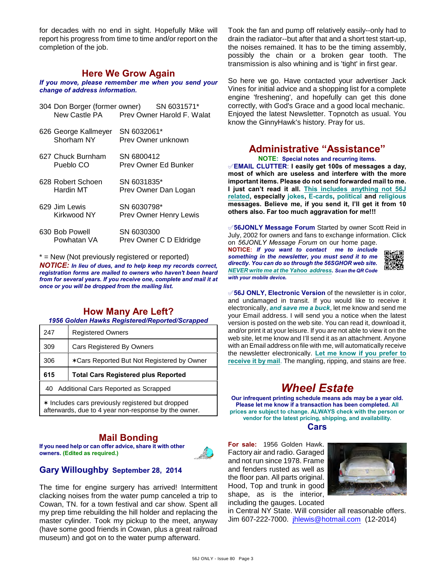for decades with no end in sight. Hopefully Mike will report his progress from time to time and/or report on the completion of the job.

#### **Here We Grow Again**

*If you move, please remember me when you send your change of address information.*

| 304 Don Borger (former owner)      | SN 6031571*<br>New Castle PA Prey Owner Harold F. Walat |
|------------------------------------|---------------------------------------------------------|
| 626 George Kallmeyer<br>Shorham NY | SN 6032061*<br>Prev Owner unknown                       |
| 627 Chuck Burnham<br>Pueblo CO     | SN 6800412<br>Prev Owner Ed Bunker                      |
| 628 Robert Schoen<br>Hardin MT     | SN 6031835*<br>Prev Owner Dan Logan                     |
| 629 Jim Lewis<br>Kirkwood NY       | SN 6030798*<br><b>Prev Owner Henry Lewis</b>            |
| 630 Bob Powell<br>Powhatan VA      | SN 6030300<br>Prev Owner C D Eldridge                   |

\* = New (Not previously registered or reported) *NOTICE: In lieu of dues, and to help keep my records correct, registration forms are mailed to owners who haven't been heard from for several years. If you receive one, complete and mail it at once or you will be dropped from the mailing list.*

## **How Many Are Left?**

*1956 Golden Hawks Registered/Reported/Scrapped*

| 247 | <b>Registered Owners</b>                   |
|-----|--------------------------------------------|
| 309 | <b>Cars Registered By Owners</b>           |
| 306 | *Cars Reported But Not Registered by Owner |
|     |                                            |
| 615 | <b>Total Cars Registered plus Reported</b> |
|     | 40 Additional Cars Reported as Scrapped    |

## **Mail Bonding**

**If you need help or can offer advice, share it with other owners. (Edited as required.)**



## **Gary Willoughby September 28, 2014**

The time for engine surgery has arrived! Intermittent clacking noises from the water pump canceled a trip to Cowan, TN. for a town festival and car show. Spent all my prep time rebuilding the hill holder and replacing the master cylinder. Took my pickup to the meet, anyway (have some good friends in Cowan, plus a great railroad museum) and got on to the water pump afterward.

Took the fan and pump off relatively easily--only had to drain the radiator--but after that and a short test start-up, the noises remained. It has to be the timing assembly, possibly the chain or a broken gear tooth. The transmission is also whining and is 'tight' in first gear.

So here we go. Have contacted your advertiser Jack Vines for initial advice and a shopping list for a complete engine 'freshening', and hopefully can get this done correctly, with God's Grace and a good local mechanic. Enjoyed the latest Newsletter. Topnotch as usual. You know the GinnyHawk's history. Pray for us.

# **Administrative "Assistance"**

**NOTE: Special notes and recurring items.**

°**EMAIL CLUTTER**: **I easily get 100s of messages a day, most of which are useless and interfere with the more important items. Please do not send forwarded mail to me. I just can't read it all. This includes anything not 56J related, especially jokes, E-cards, political and religious messages. Believe me, if you send it, I'll get it from 10 others also. Far too much aggravation for me!!!**

°**56JONLY Message Forum** Started by owner Scott Reid in July, 2002 for owners and fans to exchange information. Click on *56JONLY Message Forum* on our home page.

**NOTICE:** *If you want to contact me to include something in the newsletter, you must send it to me directly. You can do so through the 56SGHOR web site. NEVER write me at the Yahoo address. Scan the QR Code with your mobile device.* 



°**56J ONLY, Electronic Version** of the newsletter is in color, and undamaged in transit. If you would like to receive it electronically, *and save me a buck*, let me know and send me your Email address. I will send you a notice when the latest version is posted on the web site. You can read it, download it, and/or print it at your leisure. If you are not able to view it on the web site, let me know and I'll send it as an attachment. Anyone with an Email address on file with me, will automatically receive the newsletter electronically. **Let me know if you prefer to receive it by mail**. The mangling, ripping, and stains are free.

# *Wheel Estate*

**Our infrequent printing schedule means ads may be a year old. Please let me know if a transaction has been completed. All prices are subject to change. ALWAYS check with the person or vendor for the latest pricing, shipping, and availability.**

**Cars**

**For sale:** 1956 Golden Hawk. Factory air and radio. Garaged and not run since 1978. Frame and fenders rusted as well as the floor pan. All parts original. Hood, Top and trunk in good shape, as is the interior, including the gauges. Located



in Central NY State. Will consider all reasonable offers. Jim 607-222-7000. [jhlewis@hotmail.com](mailto:jhlewis@hotmail.com) (12-2014)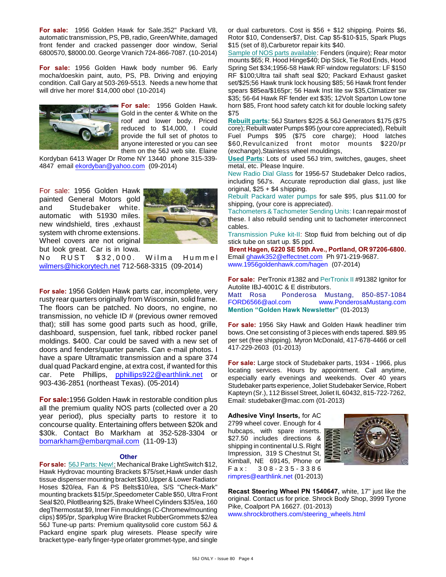**For sale:** 1956 Golden Hawk for Sale.352" Packard V8, automatic transmission, PS, PB, radio, Green/White, damaged front fender and cracked passenger door window, Serial 6800570, \$8000.00. George Vranich 724-866-7087. (10-2014)

**For sale:** 1956 Golden Hawk body number 96. Early mocha/doeskin paint, auto, PS, PB. Driving and enjoying condition. Call Gary at 503-269-5513. Needs a new home that will drive her more! \$14,000 obo! (10-2014)



**For sale:** 1956 Golden Hawk. Gold in the center & White on the roof and lower body. Priced reduced to \$14,000, I could provide the full set of photos to anyone interested or you can see them on the 56J web site. Elaine

Kordyban 6413 Wager Dr Rome NY 13440 phone 315-339- 4847 email [ekordyban@yahoo.com](mailto:ekordyban@yahoo.com) (09-2014)

For sale: 1956 Golden Hawk painted General Motors gold and Studebaker white. automatic with 51930 miles. new windshield, tires ,exhaust system with chrome extensions. Wheel covers are not original but look great. Car is in Iowa.



No RUST \$32,000. Wilma Hummel [wilmers@hickorytech.net](mailto:wilmers@hickorytech.net) 712-568-3315 (09-2014)

**For sale:** 1956 Golden Hawk parts car, incomplete, very rusty rear quarters originally from Wisconsin, solid frame. The floors can be patched. No doors, no engine, no transmission, no vehicle ID # (previous owner removed that); still has some good parts such as hood, grille, dashboard, suspension, fuel tank, ribbed rocker panel moldings. \$400. Car could be saved with a new set of doors and fenders/quarter panels. Can e-mail photos. I have a spare Ultramatic transmission and a spare 374 dual quad Packard engine, at extra cost, if wanted for this car. Pete Phillips, [pphillips922@earthlink.net](mailto:pphillips922@earthlink.net) or 903-436-2851 (northeast Texas). (05-2014)

**For sale:**1956 Golden Hawk in restorable condition plus all the premium quality NOS parts (collected over a 20 year period), plus specialty parts to restore it to concourse quality. Entertaining offers between \$20k and \$30k. Contact Bo Markham at 352-528-3304 or [bomarkham@embarqmail.com](mailto:bomarkham@embarqmail.com) (11-09-13)

#### **Other**

**For sale:** 56J Parts: New!: Mechanical Brake LightSwitch \$12, Hawk Hydrovac mounting Brackets \$75/set,Hawk under dash tissue dispenser mounting bracket \$30,Upper & Lower Radiator Hoses \$20/ea, Fan & PS Belts\$10/ea, S/S "Check-Mark" mounting brackets \$15/pr,Speedometer Cable \$50, Ultra Front Seal \$20, PilotBearing \$25, Brake Wheel Cylinders \$35/ea, 160 degThermostat \$9, Inner Fin mouldings (C-Chromew/mounting clips) \$95/pr, Sparkplug Wire Bracket RubberGrommets \$2/ea 56J Tune-up parts: Premium qualitysolid core custom 56J & Packard engine spark plug wiresets. Please specify wire bracket type- early finger-type orlater grommet-type, and single or dual carburetors. Cost is \$56 + \$12 shipping. Points \$6, Rotor \$10, Condenser\$7, Dist. Cap \$5-\$10-\$15, Spark Plugs \$15 (set of 8),Carburetor repair kits \$40.

Sample of NOS parts available: Fenders (inquire); Rear motor mounts \$65; R. Hood Hinge\$40; Dip Stick, Tie Rod Ends, Hood Spring Set \$34;1956-58 Hawk RF window regulators: LF \$150 RF \$100;Ultra tail shaft seal \$20; Packard Exhaust gasket set/\$25;56 Hawk trunk lock housing \$85; 56 Hawk front fender spears \$85ea/\$165pr; 56 Hawk Inst lite sw \$35,Climatizer sw \$35; 56-64 Hawk RF fender ext \$35; 12Volt Sparton Low tone horn \$85, Front hood safety catch kit for double locking safety \$75

**Rebuilt parts:** 56J Starters \$225 & 56J Generators \$175 (\$75 core); Rebuilt water Pumps \$95 (your core appreciated), Rebuilt Fuel Pumps \$95 (\$75 core charge); Hood latches \$60,Revulcanized front motor mounts \$220/pr (exchange),Stainless wheel mouldings,

**Used Parts**: Lots of used 56J trim, switches, gauges, sheet metal, etc. Please Inquire.

New Radio Dial Glass for 1956-57 Studebaker Delco radios, including 56J's. Accurate reproduction dial glass, just like original, \$25 + \$4 shipping.

Rebuilt Packard water pumps for sale \$95, plus \$11.00 for shipping, (your core is appreciated).

Tachometers & Tachometer Sending Units: I can repair most of these. I also rebuild sending unit to tachometer interconnect cables.

Transmission Puke kit-II: Stop fluid from belching out of dip stick tube on start up. \$5 ppd.

**Brent Hagen, 6220 SE 55th Ave., Portland, OR 97206-6800.** Email [ghawk352@effectnet.com](mailto:ghawk352@effectnet.com) Ph 971-219-9687. www.1956goldenhawk.com/hagen (07-2014)

**For sale:** PerTronix #1382 and PerTronix II #91382 Ignitor for Autolite IBJ-4001C & E distributors.

Matt Rosa Ponderosa Mustang, 850-857-1084 [FORD6566@aol.com](mailto:FORD6566@aol.com) [www.PonderosaMustang.com](http://www.PonderosaMustang.com) **Mention "Golden Hawk Newsletter"** (01-2013)

**For sale:** 1956 Sky Hawk and Golden Hawk headliner trim bows. One set consisting of 3 pieces with ends tapered. \$89.95 per set (free shipping). Myron McDonald, 417-678-4466 or cell 417-229-2603 (01-2013)

**For sale:** Large stock of Studebaker parts, 1934 - 1966, plus locating services. Hours by appointment. Call anytime, especially early evenings and weekends. Over 40 years Studebaker parts experience, Joliet Studebaker Service, Robert Kapteyn (Sr.), 112 Bissel Street, Joliet IL 60432, 815-722-7262, Email: studebaker@mac.com (01-2013)

**Adhesive Vinyl Inserts,** for AC 2799 wheel cover. Enough for 4 hubcaps, with spare inserts. \$27.50 includes directions & shipping in continental U.S. Right Impression, 319 S Chestnut St, Kimball, NE 69145, Phone or F a x : 3 0 8 - 2 3 5 - 3 3 8 6 [rimpres@earthlink.net](mailto:rimpres@earthlink.net) (01-2013)



**Recast Steering Wheel PN 1540647,** white, 17" just like the original. Contact us for price. Shrock Body Shop, 3999 Tyrone Pike, Coalport PA 16627. (01-2013) [www.shrockbrothers.com/steering\\_wheels.html](http://www.shrockbrothers.com/steering_wheels.html)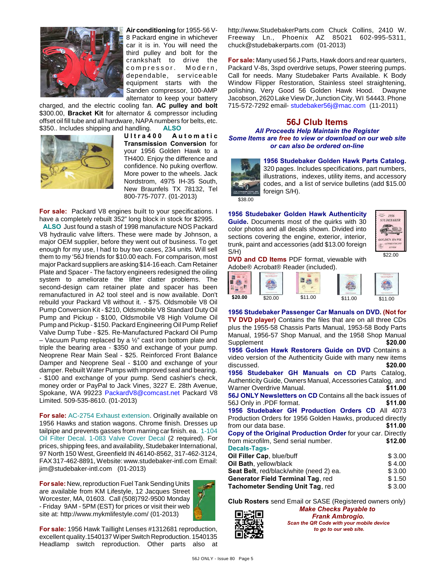

**Air conditioning** for 1955-56 V-8 Packard engine in whichever car it is in. You will need the third pulley and bolt for the crankshaft to drive the compressor. Modern, dependable, serviceable equipment starts with the Sanden compressor, 100-AMP alternator to keep your battery

charged, and the electric cooling fan. **AC pulley and bolt** \$300.00, **Bracket Kit** for alternator & compressor including offset oil fill tube and all hardware, NAPA numbers for belts, etc. \$350.. Includes shipping and handling. **ALSO**



**U l t r a 4 0 0 A u t o m a t i c Transmission Conversion** for your 1956 Golden Hawk to a TH400. Enjoy the difference and confidence. No puking overflow. More power to the wheels. Jack Nordstrom, 4975 IH-35 South, New Braunfels TX 78132, Tel 800-775-7077. (01-2013)

**For sale:** Packard V8 engines built to your specifications. I have a completely rebuilt 352" long block in stock for \$2995.

 **ALSO** Just found a stash of 1998 manufacture NOS Packard V8 hydraulic valve lifters. These were made by Johnson, a major OEM supplier, before they went out of business. To get enough for my use, I had to buy two cases, 234 units. Will sell them to my '56J friends for \$10.00 each. For comparison, most major Packard suppliers are asking \$14-16 each. Cam Retainer Plate and Spacer - The factory engineers redesigned the oiling system to ameliorate the lifter clatter problems. The second-design cam retainer plate and spacer has been remanufactured in A2 tool steel and is now available. Don't rebuild your Packard V8 without it. - \$75. Oldsmobile V8 Oil Pump Conversion Kit - \$210, Oldsmobile V8 Standard Duty Oil Pump and Pickup - \$100, Oldsmobile V8 High Volume Oil Pump and Pickup - \$150. Packard Engineering Oil Pump Relief Valve Dump Tube - \$25. Re-Manufactured Packard Oil Pump – Vacuum Pump replaced by a ½" cast iron bottom plate and triple the bearing area - \$350 and exchange of your pump. Neoprene Rear Main Seal - \$25. Reinforced Front Balance Damper and Neoprene Seal - \$100 and exchange of your damper. Rebuilt Water Pumps with improved seal and bearing. - \$100 and exchange of your pump. Send cashier's check, money order or PayPal to Jack Vines, 3227 E. 28th Avenue, Spokane, WA 99223 [PackardV8@comcast.net](mailto:PackardV8@comcast.net) Packard V8 Limited. 509-535-8610. (01-2013)

**For sale:** AC-2754 Exhaust extension. Originally available on 1956 Hawks and station wagons. Chrome finish. Dresses up tailpipe and prevents gasses from marring car finish. ea. 1-104 Oil Filter Decal. 1-083 Valve Cover Decal (2 required). For prices, shipping fees, and availability, Studebaker International, 97 North 150 West, Greenfield IN 46140-8562, 317-462-3124, FAX 317-462-8891, Website: www.studebaker-intl.com Email: jim@studebaker-intl.com (01-2013)

**For sale:** New, reproduction Fuel Tank Sending Units are available from KM Lifestyle, 12 Jacques Street Worcester, MA, 01603. Call (508)792-9500 Monday - Friday 9AM - 5PM (EST) for prices or visit their web site at: http://www.mykmlifestyle.com/ (01-2013)



**For sale:** 1956 Hawk Taillight Lenses #1312681 reproduction, excellent quality.1540137 Wiper Switch Reproduction. 1540135 Headlamp switch reproduction. Other parts also at http://www.StudebakerParts.com Chuck Collins, 2410 W. Freeway Ln., Phoenix AZ 85021 602-995-5311, chuck@studebakerparts.com (01-2013)

**For sale:** Many used 56 J Parts, Hawk doors and rear quarters, Packard V-8s, 3spd overdrive setups, Power steering pumps. Call for needs. Many Studebaker Parts Available. K Body Window Flipper Restoration, Stainless steel straightening, polishing. Very Good 56 Golden Hawk Hood. Dwayne Jacobson, 2620 Lake View Dr, Junction City, WI 54443. Phone 715-572-7292 email- [studebaker56j@mac.com](mailto:studebaker56j@mac.com) (11-2011)

#### **56J Club Items**

*All Proceeds Help Maintain the Register Some Items are free to view or download on our web site or can also be ordered on-line*



**1956 Studebaker Golden Hawk Parts Catalog.**

320 pages. Includes specifications, part numbers, illustrations, indexes, utility items, and accessory codes, and a list of service bulletins (add \$15.00 foreign S/H).

**1956 Studebaker Golden Hawk Authenticity Guide.** Documents most of the quirks with 30 color photos and all decals shown. Divided into sections covering the engine, exterior, interior, trunk, paint and accessories (add \$13.00 foreign S/H)



**DVD and CD Items** PDF format, viewable with Adobe® Acrobat® Reader (included).

**1956 Studebaker Passenger Car Manuals on DVD. (Not for TV DVD player)** Contains the files that are on all three CDs plus the 1955-58 Chassis Parts Manual, 1953-58 Body Parts Manual, 1956-57 Shop Manual, and the 1958 Shop Manual Supplement **\$20.00 1956 Golden Hawk Restorers Guide on DVD** Contains a

video version of the Authenticity Guide with many new items discussed. **\$20.00 1956 Studebaker GH Manuals on CD** Parts Catalog, Authenticity Guide, Owners Manual, Accessories Catalog, and Warner Overdrive Manual. **\$11.00 56J ONLY Newsletters on CD** Contains all the back issues of 56J Only in .PDF format. **\$11.00 1956 Studebaker GH Production Orders CD** All 4073 Production Orders for 1956 Golden Hawks, produced directly from our data base. **\$11.00 Copy of the Original Production Order** for your car. Directly from microfilm, Send serial number. **\$12.00 Decals-Tags-Oil Filler Cap**, blue/buff  $$3.00$ **Oil Bath**, yellow/black  $$ 4.00$ **Seat Belt**, red/black/white (need 2) ea. \$ 3.00 **Generator Field Terminal Tag, red**  $$ 1.50$ **Tachometer Sending Unit Tag, red**  $$3.00$ 

**Club Rosters** send Email or SASE (Registered owners only)



*Make Checks Payable to Frank Ambrogio. Scan the QR Code with your mobile device to go to our web site.*